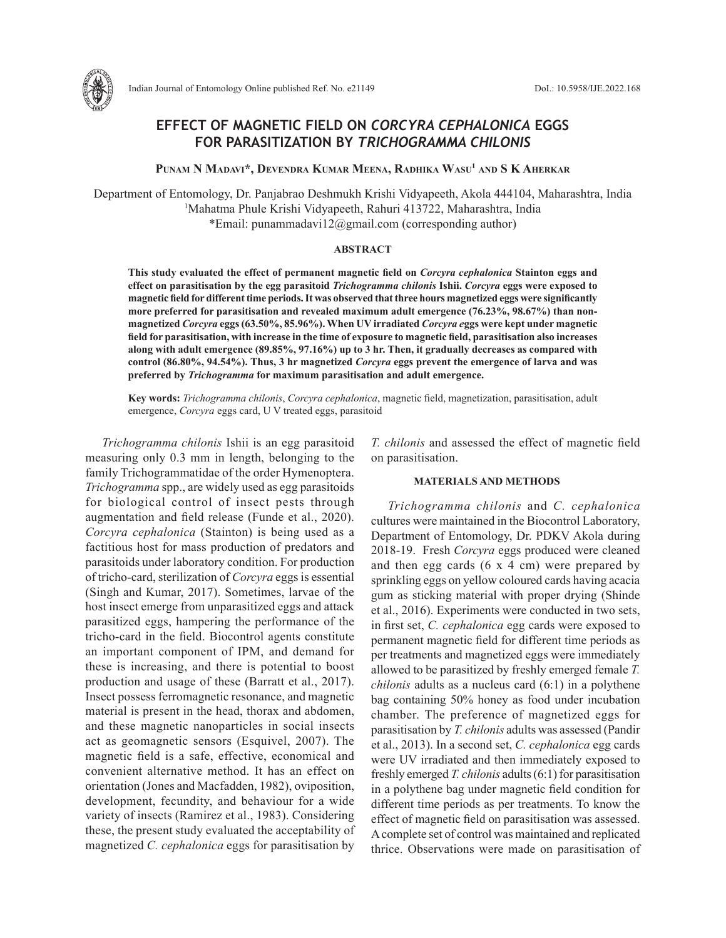

# **EFFECT OF MAGNETIC FIELD ON** *CORCYRA CEPHALONICA* **EGGS FOR PARASITIZATION BY** *TRICHOGRAMMA CHILONIS*

**Punam N Madavi\*, Devendra Kumar Meena, Radhika Wasu1 and S K Aherkar**

Department of Entomology, Dr. Panjabrao Deshmukh Krishi Vidyapeeth, Akola 444104, Maharashtra, India 1 Mahatma Phule Krishi Vidyapeeth, Rahuri 413722, Maharashtra, India \*Email: punammadavi12@gmail.com (corresponding author)

### **ABSTRACT**

**This study evaluated the effect of permanent magnetic field on** *Corcyra cephalonica* **Stainton eggs and effect on parasitisation by the egg parasitoid** *Trichogramma chilonis* **Ishii.** *Corcyra* **eggs were exposed to magnetic field for different time periods. It was observed that three hours magnetized eggs were significantly more preferred for parasitisation and revealed maximum adult emergence (76.23%, 98.67%) than nonmagnetized** *Corcyra* **eggs (63.50%, 85.96%). When UV irradiated** *Corcyra e***ggs were kept under magnetic field for parasitisation, with increase in the time of exposure to magnetic field, parasitisation also increases along with adult emergence (89.85%, 97.16%) up to 3 hr. Then, it gradually decreases as compared with control (86.80%, 94.54%). Thus, 3 hr magnetized** *Corcyra* **eggs prevent the emergence of larva and was preferred by** *Trichogramma* **for maximum parasitisation and adult emergence.**

**Key words:** *Trichogramma chilonis*, *Corcyra cephalonica*, magnetic field, magnetization, parasitisation, adult emergence, *Corcyra* eggs card, U V treated eggs, parasitoid

*Trichogramma chilonis* Ishii is an egg parasitoid measuring only 0.3 mm in length, belonging to the family Trichogrammatidae of the order Hymenoptera. *Trichogramma* spp., are widely used as egg parasitoids for biological control of insect pests through augmentation and field release (Funde et al., 2020). *Corcyra cephalonica* (Stainton) is being used as a factitious host for mass production of predators and parasitoids under laboratory condition. For production of tricho-card, sterilization of *Corcyra* eggs is essential (Singh and Kumar, 2017). Sometimes, larvae of the host insect emerge from unparasitized eggs and attack parasitized eggs, hampering the performance of the tricho-card in the field. Biocontrol agents constitute an important component of IPM, and demand for these is increasing, and there is potential to boost production and usage of these (Barratt et al., 2017). Insect possess ferromagnetic resonance, and magnetic material is present in the head, thorax and abdomen, and these magnetic nanoparticles in social insects act as geomagnetic sensors (Esquivel, 2007). The magnetic field is a safe, effective, economical and convenient alternative method. It has an effect on orientation (Jones and Macfadden, 1982), oviposition, development, fecundity, and behaviour for a wide variety of insects (Ramirez et al., 1983). Considering these, the present study evaluated the acceptability of magnetized *C. cephalonica* eggs for parasitisation by

*T. chilonis* and assessed the effect of magnetic field on parasitisation.

### **MATERIALS AND METHODS**

*Trichogramma chilonis* and *C. cephalonica* cultures were maintained in the Biocontrol Laboratory, Department of Entomology, Dr. PDKV Akola during 2018-19. Fresh *Corcyra* eggs produced were cleaned and then egg cards (6 x 4 cm) were prepared by sprinkling eggs on yellow coloured cards having acacia gum as sticking material with proper drying (Shinde et al., 2016). Experiments were conducted in two sets, in first set, *C. cephalonica* egg cards were exposed to permanent magnetic field for different time periods as per treatments and magnetized eggs were immediately allowed to be parasitized by freshly emerged female *T. chilonis* adults as a nucleus card (6:1) in a polythene bag containing 50% honey as food under incubation chamber. The preference of magnetized eggs for parasitisation by *T. chilonis* adults was assessed (Pandir et al., 2013). In a second set, *C. cephalonica* egg cards were UV irradiated and then immediately exposed to freshly emerged *T. chilonis* adults (6:1) for parasitisation in a polythene bag under magnetic field condition for different time periods as per treatments. To know the effect of magnetic field on parasitisation was assessed. A complete set of control was maintained and replicated thrice. Observations were made on parasitisation of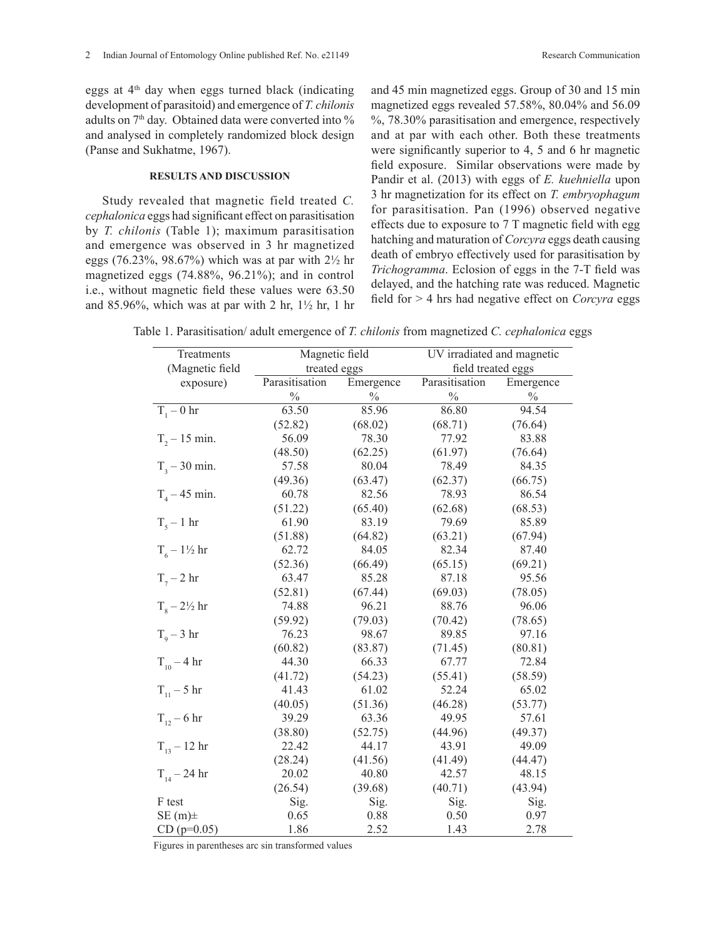eggs at  $4<sup>th</sup>$  day when eggs turned black (indicating development of parasitoid) and emergence of *T. chilonis* adults on 7<sup>th</sup> day. Obtained data were converted into % and analysed in completely randomized block design (Panse and Sukhatme, 1967).

## **RESULTS AND DISCUSSION**

Study revealed that magnetic field treated *C. cephalonica* eggs had significant effect on parasitisation by *T. chilonis* (Table 1); maximum parasitisation and emergence was observed in 3 hr magnetized eggs (76.23%, 98.67%) which was at par with 2½ hr magnetized eggs (74.88%, 96.21%); and in control i.e., without magnetic field these values were 63.50 and 85.96%, which was at par with 2 hr,  $1\frac{1}{2}$  hr, 1 hr and 45 min magnetized eggs. Group of 30 and 15 min magnetized eggs revealed 57.58%, 80.04% and 56.09 %, 78.30% parasitisation and emergence, respectively and at par with each other. Both these treatments were significantly superior to 4, 5 and 6 hr magnetic field exposure. Similar observations were made by Pandir et al. (2013) with eggs of *E. kuehniella* upon 3 hr magnetization for its effect on *T. embryophagum* for parasitisation. Pan (1996) observed negative effects due to exposure to 7 T magnetic field with egg hatching and maturation of *Corcyra* eggs death causing death of embryo effectively used for parasitisation by *Trichogramma*. Eclosion of eggs in the 7-T field was delayed, and the hatching rate was reduced. Magnetic field for > 4 hrs had negative effect on *Corcyra* eggs

Table 1. Parasitisation/ adult emergence of *T. chilonis* from magnetized *C. cephalonica* eggs

| Treatments                    | Magnetic field |               | UV irradiated and magnetic |               |
|-------------------------------|----------------|---------------|----------------------------|---------------|
| (Magnetic field               | treated eggs   |               | field treated eggs         |               |
| exposure)                     | Parasitisation | Emergence     | Parasitisation             | Emergence     |
|                               | $\frac{0}{0}$  | $\frac{0}{0}$ | $\frac{0}{0}$              | $\frac{0}{0}$ |
| $T1 - 0$ hr                   | 63.50          | 85.96         | 86.80                      | 94.54         |
|                               | (52.82)        | (68.02)       | (68.71)                    | (76.64)       |
| $T_{2} - 15$ min.             | 56.09          | 78.30         | 77.92                      | 83.88         |
|                               | (48.50)        | (62.25)       | (61.97)                    | (76.64)       |
| $T_3 - 30$ min.               | 57.58          | 80.04         | 78.49                      | 84.35         |
|                               | (49.36)        | (63.47)       | (62.37)                    | (66.75)       |
| $T_{4} - 45$ min.             | 60.78          | 82.56         | 78.93                      | 86.54         |
|                               | (51.22)        | (65.40)       | (62.68)                    | (68.53)       |
| $T_s - 1$ hr                  | 61.90          | 83.19         | 79.69                      | 85.89         |
|                               | (51.88)        | (64.82)       | (63.21)                    | (67.94)       |
| $T_6 - 1\frac{1}{2}$ hr       | 62.72          | 84.05         | 82.34                      | 87.40         |
|                               | (52.36)        | (66.49)       | (65.15)                    | (69.21)       |
| $T_{7} - 2 hr$                | 63.47          | 85.28         | 87.18                      | 95.56         |
|                               | (52.81)        | (67.44)       | (69.03)                    | (78.05)       |
| $T_{\circ} - 2\frac{1}{2}$ hr | 74.88          | 96.21         | 88.76                      | 96.06         |
|                               | (59.92)        | (79.03)       | (70.42)                    | (78.65)       |
| $T_0 - 3$ hr                  | 76.23          | 98.67         | 89.85                      | 97.16         |
|                               | (60.82)        | (83.87)       | (71.45)                    | (80.81)       |
| $T_{10} - 4 \text{ hr}$       | 44.30          | 66.33         | 67.77                      | 72.84         |
|                               | (41.72)        | (54.23)       | (55.41)                    | (58.59)       |
| $T_{11} - 5$ hr               | 41.43          | 61.02         | 52.24                      | 65.02         |
|                               | (40.05)        | (51.36)       | (46.28)                    | (53.77)       |
| $T_{12} - 6$ hr               | 39.29          | 63.36         | 49.95                      | 57.61         |
|                               | (38.80)        | (52.75)       | (44.96)                    | (49.37)       |
| $T_{13} - 12$ hr              | 22.42          | 44.17         | 43.91                      | 49.09         |
|                               | (28.24)        | (41.56)       | (41.49)                    | (44.47)       |
| $T_{14} - 24$ hr              | 20.02          | 40.80         | 42.57                      | 48.15         |
|                               | (26.54)        | (39.68)       | (40.71)                    | (43.94)       |
| F test                        | Sig.           | Sig.          | Sig.                       | Sig.          |
| $SE(m)$ ±                     | 0.65           | 0.88          | 0.50                       | 0.97          |
| $CD$ (p=0.05)                 | 1.86           | 2.52          | 1.43                       | 2.78          |

Figures in parentheses arc sin transformed values